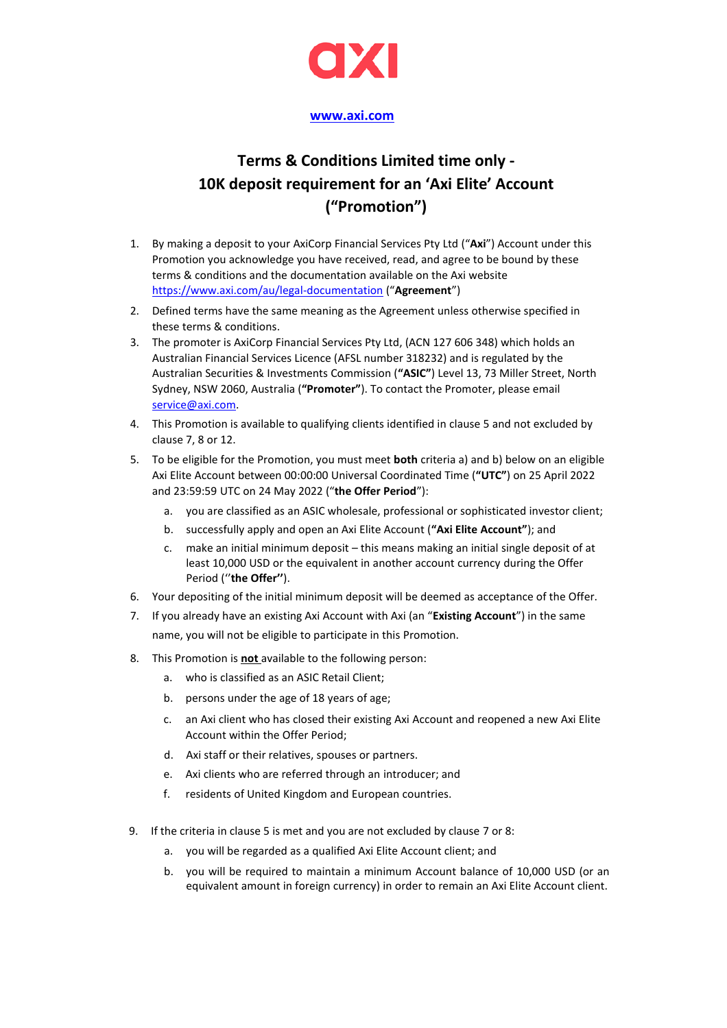

## **[www.axi.com](http://www.axi.com/)**

## **Terms & Conditions Limited time only - 10K deposit requirement for an 'Axi Elite' Account ("Promotion")**

- 1. By making a deposit to your AxiCorp Financial Services Pty Ltd ("**Axi**") Account under this Promotion you acknowledge you have received, read, and agree to be bound by these terms & conditions and the documentation available on the Axi website <https://www.axi.com/au/legal-documentation> ("**Agreement**")
- 2. Defined terms have the same meaning as the Agreement unless otherwise specified in these terms & conditions.
- 3. The promoter is AxiCorp Financial Services Pty Ltd, (ACN 127 606 348) which holds an Australian Financial Services Licence (AFSL number 318232) and is regulated by the Australian Securities & Investments Commission (**"ASIC"**) Level 13, 73 Miller Street, North Sydney, NSW 2060, Australia (**"Promoter"**). To contact the Promoter, please email [service@axi.com.](mailto:service@axi.com)
- 4. This Promotion is available to qualifying clients identified in clause 5 and not excluded by clause 7, 8 or 12.
- 5. To be eligible for the Promotion, you must meet **both** criteria a) and b) below on an eligible Axi Elite Account between 00:00:00 Universal Coordinated Time (**"UTC"**) on 25 April 2022 and 23:59:59 UTC on 24 May 2022 ("**the Offer Period**"):
	- a. you are classified as an ASIC wholesale, professional or sophisticated investor client;
	- b. successfully apply and open an Axi Elite Account (**"Axi Elite Account"**); and
	- c. make an initial minimum deposit this means making an initial single deposit of at least 10,000 USD or the equivalent in another account currency during the Offer Period (''**the Offer''**).
- 6. Your depositing of the initial minimum deposit will be deemed as acceptance of the Offer.
- 7. If you already have an existing Axi Account with Axi (an "**Existing Account**") in the same name, you will not be eligible to participate in this Promotion.
- 8. This Promotion is **not** available to the following person:
	- a. who is classified as an ASIC Retail Client;
	- b. persons under the age of 18 years of age;
	- c. an Axi client who has closed their existing Axi Account and reopened a new Axi Elite Account within the Offer Period;
	- d. Axi staff or their relatives, spouses or partners.
	- e. Axi clients who are referred through an introducer; and
	- f. residents of United Kingdom and European countries.
- 9. If the criteria in clause 5 is met and you are not excluded by clause 7 or 8:
	- a. you will be regarded as a qualified Axi Elite Account client; and
	- b. you will be required to maintain a minimum Account balance of 10,000 USD (or an equivalent amount in foreign currency) in order to remain an Axi Elite Account client.